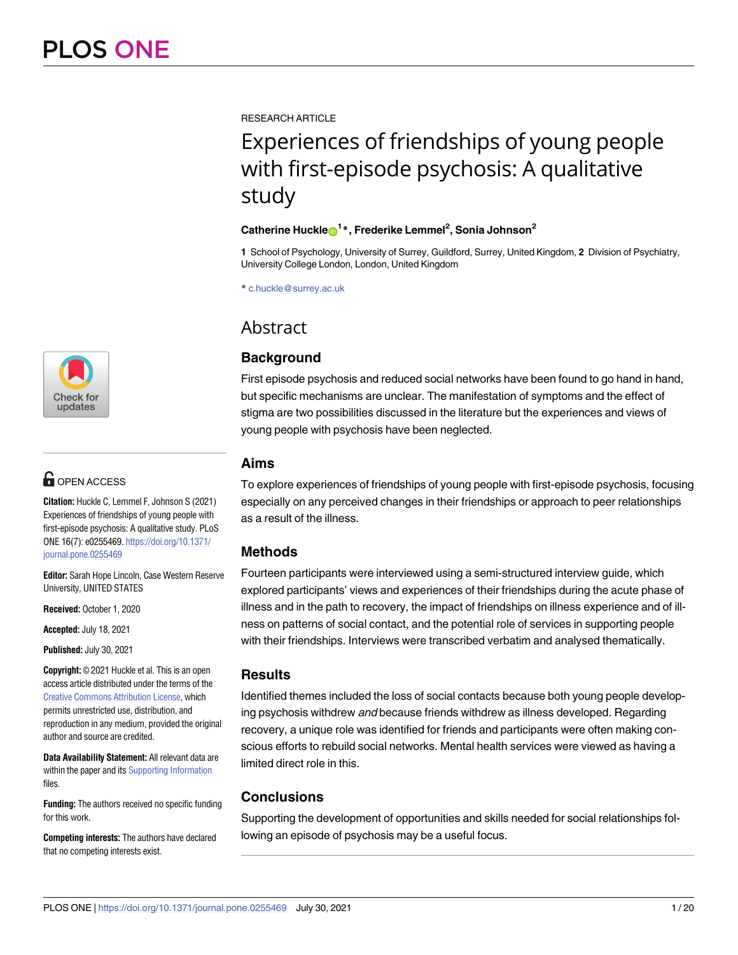

# **G** OPEN ACCESS

**Citation:** Huckle C, Lemmel F, Johnson S (2021) Experiences of friendships of young people with first-episode psychosis: A qualitative study. PLoS ONE 16(7): e0255469. [https://doi.org/10.1371/](https://doi.org/10.1371/journal.pone.0255469) [journal.pone.0255469](https://doi.org/10.1371/journal.pone.0255469)

**Editor:** Sarah Hope Lincoln, Case Western Reserve University, UNITED STATES

**Received:** October 1, 2020

**Accepted:** July 18, 2021

**Published:** July 30, 2021

**Copyright:** © 2021 Huckle et al. This is an open access article distributed under the terms of the Creative Commons [Attribution](http://creativecommons.org/licenses/by/4.0/) License, which permits unrestricted use, distribution, and reproduction in any medium, provided the original author and source are credited.

**Data Availability Statement:** All relevant data are within the paper and its Supporting [Information](#page-16-0) files.

**Funding:** The authors received no specific funding for this work.

**Competing interests:** The authors have declared that no competing interests exist.

RESEARCH ARTICLE

# Experiences of friendships of young people with first-episode psychosis: A qualitative study

## $\mathbf{C}$ atherine Huckle $\mathbf{D}^{1*}$ , Frederike Lemmel<sup>2</sup>, Sonia Johnson<sup>2</sup>

**1** School of Psychology, University of Surrey, Guildford, Surrey, United Kingdom, **2** Division of Psychiatry, University College London, London, United Kingdom

\* c.huckle@surrey.ac.uk

# **Abstract**

# **Background**

First episode psychosis and reduced social networks have been found to go hand in hand, but specific mechanisms are unclear. The manifestation of symptoms and the effect of stigma are two possibilities discussed in the literature but the experiences and views of young people with psychosis have been neglected.

# **Aims**

To explore experiences of friendships of young people with first-episode psychosis, focusing especially on any perceived changes in their friendships or approach to peer relationships as a result of the illness.

# **Methods**

Fourteen participants were interviewed using a semi-structured interview guide, which explored participants' views and experiences of their friendships during the acute phase of illness and in the path to recovery, the impact of friendships on illness experience and of illness on patterns of social contact, and the potential role of services in supporting people with their friendships. Interviews were transcribed verbatim and analysed thematically.

# **Results**

Identified themes included the loss of social contacts because both young people developing psychosis withdrew *and* because friends withdrew as illness developed. Regarding recovery, a unique role was identified for friends and participants were often making conscious efforts to rebuild social networks. Mental health services were viewed as having a limited direct role in this.

# **Conclusions**

Supporting the development of opportunities and skills needed for social relationships following an episode of psychosis may be a useful focus.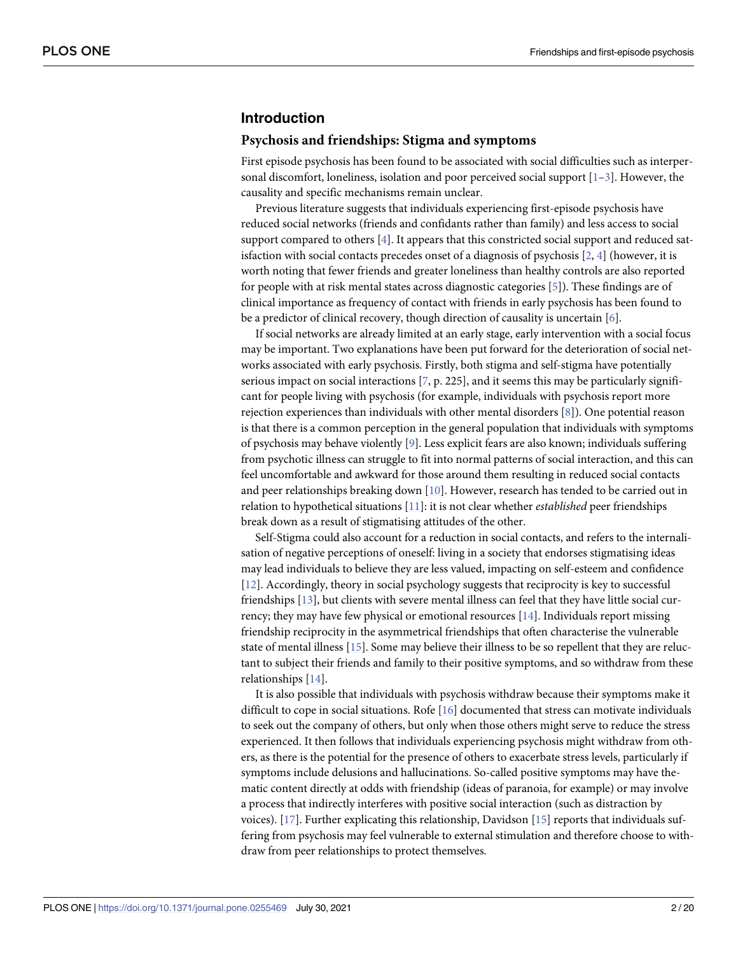#### <span id="page-1-0"></span>**Introduction**

#### **Psychosis and friendships: Stigma and symptoms**

First episode psychosis has been found to be associated with social difficulties such as interpersonal discomfort, loneliness, isolation and poor perceived social support  $[1-3]$  $[1-3]$ . However, the causality and specific mechanisms remain unclear.

Previous literature suggests that individuals experiencing first-episode psychosis have reduced social networks (friends and confidants rather than family) and less access to social support compared to others [\[4](#page-17-0)]. It appears that this constricted social support and reduced satisfaction with social contacts precedes onset of a diagnosis of psychosis  $[2, 4]$  $[2, 4]$  $[2, 4]$  $[2, 4]$  (however, it is worth noting that fewer friends and greater loneliness than healthy controls are also reported for people with at risk mental states across diagnostic categories [\[5\]](#page-17-0)). These findings are of clinical importance as frequency of contact with friends in early psychosis has been found to be a predictor of clinical recovery, though direction of causality is uncertain [[6](#page-17-0)].

If social networks are already limited at an early stage, early intervention with a social focus may be important. Two explanations have been put forward for the deterioration of social networks associated with early psychosis. Firstly, both stigma and self-stigma have potentially serious impact on social interactions  $[7, p. 225]$  $[7, p. 225]$  $[7, p. 225]$ , and it seems this may be particularly significant for people living with psychosis (for example, individuals with psychosis report more rejection experiences than individuals with other mental disorders [[8\]](#page-17-0)). One potential reason is that there is a common perception in the general population that individuals with symptoms of psychosis may behave violently [\[9](#page-17-0)]. Less explicit fears are also known; individuals suffering from psychotic illness can struggle to fit into normal patterns of social interaction, and this can feel uncomfortable and awkward for those around them resulting in reduced social contacts and peer relationships breaking down [\[10](#page-17-0)]. However, research has tended to be carried out in relation to hypothetical situations [\[11\]](#page-17-0): it is not clear whether *established* peer friendships break down as a result of stigmatising attitudes of the other.

Self-Stigma could also account for a reduction in social contacts, and refers to the internalisation of negative perceptions of oneself: living in a society that endorses stigmatising ideas may lead individuals to believe they are less valued, impacting on self-esteem and confidence [\[12\]](#page-17-0). Accordingly, theory in social psychology suggests that reciprocity is key to successful friendships [\[13\]](#page-17-0), but clients with severe mental illness can feel that they have little social currency; they may have few physical or emotional resources [\[14\]](#page-17-0). Individuals report missing friendship reciprocity in the asymmetrical friendships that often characterise the vulnerable state of mental illness [[15](#page-17-0)]. Some may believe their illness to be so repellent that they are reluctant to subject their friends and family to their positive symptoms, and so withdraw from these relationships [[14](#page-17-0)].

It is also possible that individuals with psychosis withdraw because their symptoms make it difficult to cope in social situations. Rofe [[16](#page-17-0)] documented that stress can motivate individuals to seek out the company of others, but only when those others might serve to reduce the stress experienced. It then follows that individuals experiencing psychosis might withdraw from others, as there is the potential for the presence of others to exacerbate stress levels, particularly if symptoms include delusions and hallucinations. So-called positive symptoms may have thematic content directly at odds with friendship (ideas of paranoia, for example) or may involve a process that indirectly interferes with positive social interaction (such as distraction by voices). [[17](#page-17-0)]. Further explicating this relationship, Davidson [\[15\]](#page-17-0) reports that individuals suffering from psychosis may feel vulnerable to external stimulation and therefore choose to withdraw from peer relationships to protect themselves.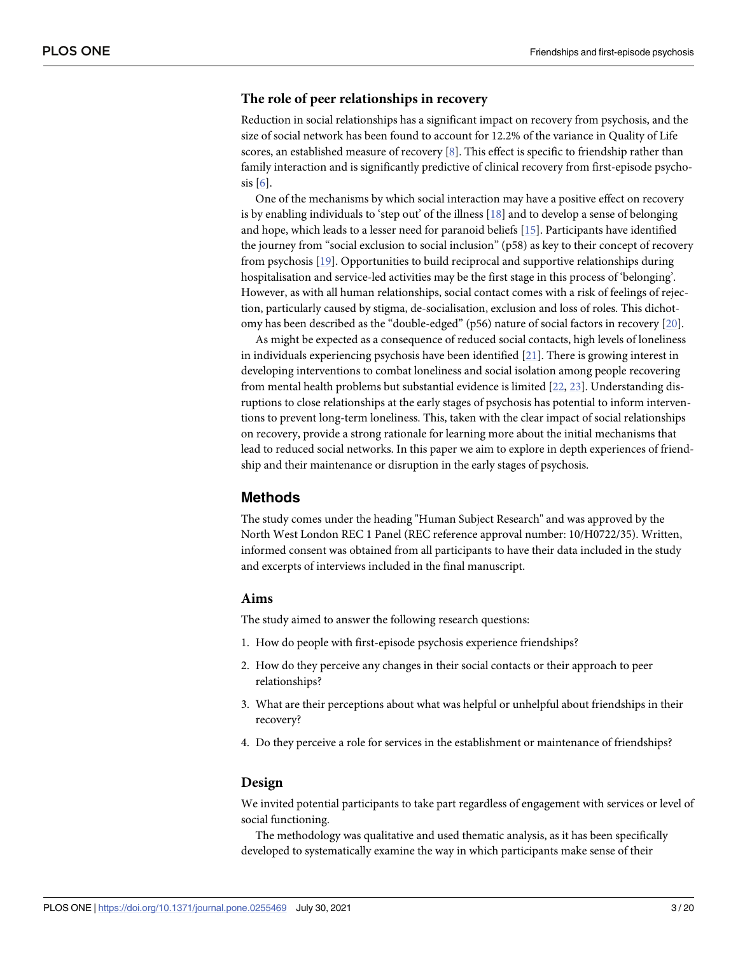#### <span id="page-2-0"></span>**The role of peer relationships in recovery**

Reduction in social relationships has a significant impact on recovery from psychosis, and the size of social network has been found to account for 12.2% of the variance in Quality of Life scores, an established measure of recovery [[8\]](#page-17-0). This effect is specific to friendship rather than family interaction and is significantly predictive of clinical recovery from first-episode psycho- $sis [6]$  $sis [6]$  $sis [6]$ .

One of the mechanisms by which social interaction may have a positive effect on recovery is by enabling individuals to 'step out' of the illness [[18](#page-17-0)] and to develop a sense of belonging and hope, which leads to a lesser need for paranoid beliefs [\[15\]](#page-17-0). Participants have identified the journey from "social exclusion to social inclusion" (p58) as key to their concept of recovery from psychosis [\[19\]](#page-17-0). Opportunities to build reciprocal and supportive relationships during hospitalisation and service-led activities may be the first stage in this process of 'belonging'. However, as with all human relationships, social contact comes with a risk of feelings of rejection, particularly caused by stigma, de-socialisation, exclusion and loss of roles. This dichotomy has been described as the "double-edged" (p56) nature of social factors in recovery [[20](#page-17-0)].

As might be expected as a consequence of reduced social contacts, high levels of loneliness in individuals experiencing psychosis have been identified [\[21\]](#page-17-0). There is growing interest in developing interventions to combat loneliness and social isolation among people recovering from mental health problems but substantial evidence is limited [[22](#page-17-0), [23](#page-17-0)]. Understanding disruptions to close relationships at the early stages of psychosis has potential to inform interventions to prevent long-term loneliness. This, taken with the clear impact of social relationships on recovery, provide a strong rationale for learning more about the initial mechanisms that lead to reduced social networks. In this paper we aim to explore in depth experiences of friendship and their maintenance or disruption in the early stages of psychosis.

#### **Methods**

The study comes under the heading "Human Subject Research" and was approved by the North West London REC 1 Panel (REC reference approval number: 10/H0722/35). Written, informed consent was obtained from all participants to have their data included in the study and excerpts of interviews included in the final manuscript.

#### **Aims**

The study aimed to answer the following research questions:

- 1. How do people with first-episode psychosis experience friendships?
- 2. How do they perceive any changes in their social contacts or their approach to peer relationships?
- 3. What are their perceptions about what was helpful or unhelpful about friendships in their recovery?
- 4. Do they perceive a role for services in the establishment or maintenance of friendships?

#### **Design**

We invited potential participants to take part regardless of engagement with services or level of social functioning.

The methodology was qualitative and used thematic analysis, as it has been specifically developed to systematically examine the way in which participants make sense of their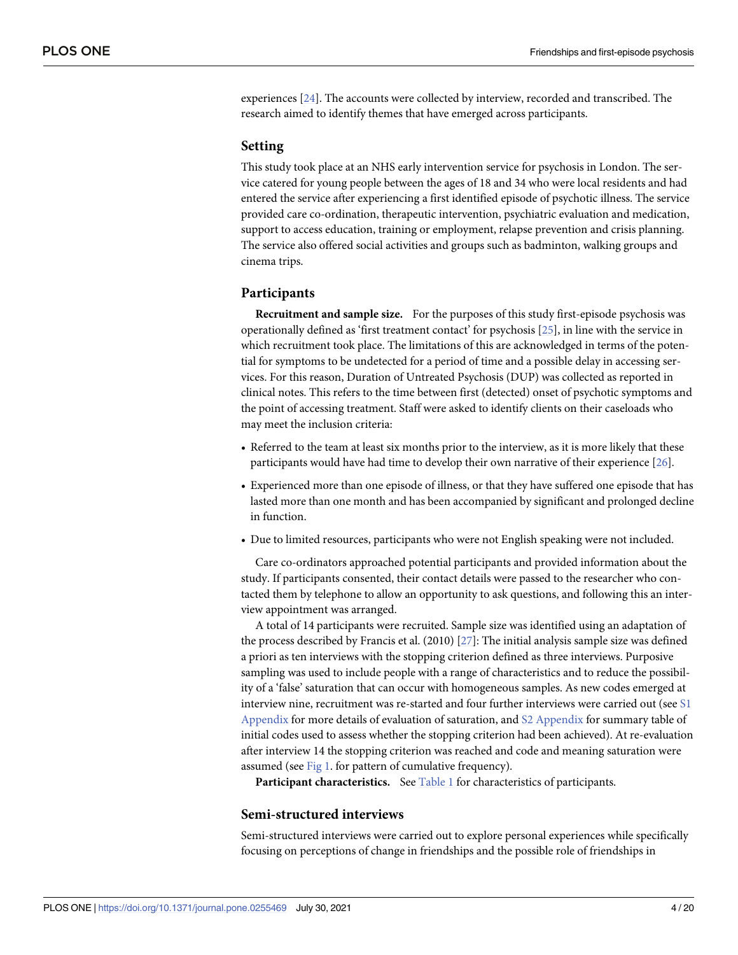<span id="page-3-0"></span>experiences [\[24\]](#page-18-0). The accounts were collected by interview, recorded and transcribed. The research aimed to identify themes that have emerged across participants.

#### **Setting**

This study took place at an NHS early intervention service for psychosis in London. The service catered for young people between the ages of 18 and 34 who were local residents and had entered the service after experiencing a first identified episode of psychotic illness. The service provided care co-ordination, therapeutic intervention, psychiatric evaluation and medication, support to access education, training or employment, relapse prevention and crisis planning. The service also offered social activities and groups such as badminton, walking groups and cinema trips.

#### **Participants**

**Recruitment and sample size.** For the purposes of this study first-episode psychosis was operationally defined as 'first treatment contact' for psychosis [[25](#page-18-0)], in line with the service in which recruitment took place. The limitations of this are acknowledged in terms of the potential for symptoms to be undetected for a period of time and a possible delay in accessing services. For this reason, Duration of Untreated Psychosis (DUP) was collected as reported in clinical notes. This refers to the time between first (detected) onset of psychotic symptoms and the point of accessing treatment. Staff were asked to identify clients on their caseloads who may meet the inclusion criteria:

- Referred to the team at least six months prior to the interview, as it is more likely that these participants would have had time to develop their own narrative of their experience [[26](#page-18-0)].
- Experienced more than one episode of illness, or that they have suffered one episode that has lasted more than one month and has been accompanied by significant and prolonged decline in function.
- Due to limited resources, participants who were not English speaking were not included.

Care co-ordinators approached potential participants and provided information about the study. If participants consented, their contact details were passed to the researcher who contacted them by telephone to allow an opportunity to ask questions, and following this an interview appointment was arranged.

A total of 14 participants were recruited. Sample size was identified using an adaptation of the process described by Francis et al. (2010) [[27\]](#page-18-0): The initial analysis sample size was defined a priori as ten interviews with the stopping criterion defined as three interviews. Purposive sampling was used to include people with a range of characteristics and to reduce the possibility of a 'false' saturation that can occur with homogeneous samples. As new codes emerged at interview nine, recruitment was re-started and four further interviews were carried out (see [S1](#page-16-0) [Appendix](#page-16-0) for more details of evaluation of saturation, and S2 [Appendix](#page-16-0) for summary table of initial codes used to assess whether the stopping criterion had been achieved). At re-evaluation after interview 14 the stopping criterion was reached and code and meaning saturation were assumed (see [Fig](#page-4-0) 1. for pattern of cumulative frequency).

**Participant characteristics.** See [Table](#page-4-0) 1 for characteristics of participants.

#### **Semi-structured interviews**

Semi-structured interviews were carried out to explore personal experiences while specifically focusing on perceptions of change in friendships and the possible role of friendships in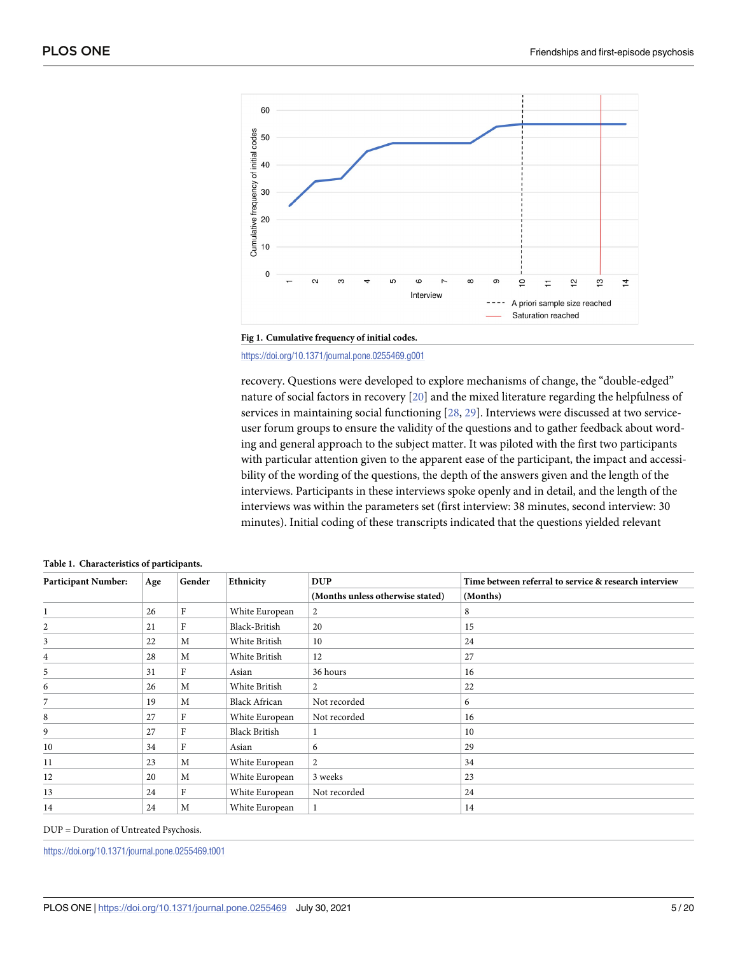<span id="page-4-0"></span>



<https://doi.org/10.1371/journal.pone.0255469.g001>

recovery. Questions were developed to explore mechanisms of change, the "double-edged" nature of social factors in recovery [\[20\]](#page-17-0) and the mixed literature regarding the helpfulness of services in maintaining social functioning [[28](#page-18-0), [29](#page-18-0)]. Interviews were discussed at two serviceuser forum groups to ensure the validity of the questions and to gather feedback about wording and general approach to the subject matter. It was piloted with the first two participants with particular attention given to the apparent ease of the participant, the impact and accessibility of the wording of the questions, the depth of the answers given and the length of the interviews. Participants in these interviews spoke openly and in detail, and the length of the interviews was within the parameters set (first interview: 38 minutes, second interview: 30 minutes). Initial coding of these transcripts indicated that the questions yielded relevant

| <b>Participant Number:</b> | Age | Gender         | Ethnicity            | <b>DUP</b>                       | Time between referral to service & research interview |
|----------------------------|-----|----------------|----------------------|----------------------------------|-------------------------------------------------------|
|                            |     |                |                      | (Months unless otherwise stated) | (Months)                                              |
| 1                          | 26  | F              | White European       | 2                                | 8                                                     |
| 2                          | 21  | F              | Black-British        | 20                               | 15                                                    |
| 3                          | 22  | M              | White British        | 10                               | 24                                                    |
| 4                          | 28  | M              | White British        | 12                               | 27                                                    |
| 5                          | 31  | $\overline{F}$ | Asian                | 36 hours                         | 16                                                    |
| 6                          | 26  | M              | White British        | 2                                | 22                                                    |
| 7                          | 19  | M              | <b>Black African</b> | Not recorded                     | 6                                                     |
| 8                          | 27  | F              | White European       | Not recorded                     | 16                                                    |
| 9                          | 27  | F              | <b>Black British</b> | 1                                | 10                                                    |
| 10                         | 34  | F              | Asian                | 6                                | 29                                                    |
| 11                         | 23  | M              | White European       | $\overline{2}$                   | 34                                                    |
| 12                         | 20  | M              | White European       | 3 weeks                          | 23                                                    |
| 13                         | 24  | F              | White European       | Not recorded                     | 24                                                    |
| 14                         | 24  | M              | White European       | 1                                | 14                                                    |

|  | Table 1. Characteristics of participants. |  |
|--|-------------------------------------------|--|
|--|-------------------------------------------|--|

DUP = Duration of Untreated Psychosis.

<https://doi.org/10.1371/journal.pone.0255469.t001>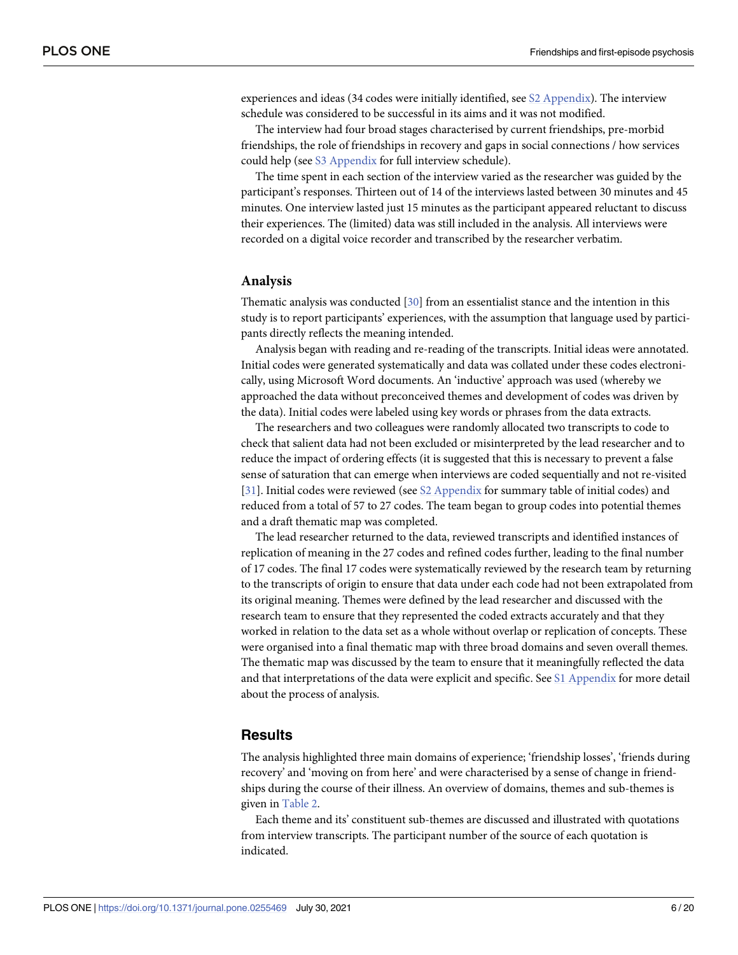<span id="page-5-0"></span>experiences and ideas (34 codes were initially identified, see S2 [Appendix](#page-16-0)). The interview schedule was considered to be successful in its aims and it was not modified.

The interview had four broad stages characterised by current friendships, pre-morbid friendships, the role of friendships in recovery and gaps in social connections / how services could help (see S3 [Appendix](#page-16-0) for full interview schedule).

The time spent in each section of the interview varied as the researcher was guided by the participant's responses. Thirteen out of 14 of the interviews lasted between 30 minutes and 45 minutes. One interview lasted just 15 minutes as the participant appeared reluctant to discuss their experiences. The (limited) data was still included in the analysis. All interviews were recorded on a digital voice recorder and transcribed by the researcher verbatim.

#### **Analysis**

Thematic analysis was conducted [\[30\]](#page-18-0) from an essentialist stance and the intention in this study is to report participants' experiences, with the assumption that language used by participants directly reflects the meaning intended.

Analysis began with reading and re-reading of the transcripts. Initial ideas were annotated. Initial codes were generated systematically and data was collated under these codes electronically, using Microsoft Word documents. An 'inductive' approach was used (whereby we approached the data without preconceived themes and development of codes was driven by the data). Initial codes were labeled using key words or phrases from the data extracts.

The researchers and two colleagues were randomly allocated two transcripts to code to check that salient data had not been excluded or misinterpreted by the lead researcher and to reduce the impact of ordering effects (it is suggested that this is necessary to prevent a false sense of saturation that can emerge when interviews are coded sequentially and not re-visited [\[31\]](#page-18-0). Initial codes were reviewed (see S2 [Appendix](#page-16-0) for summary table of initial codes) and reduced from a total of 57 to 27 codes. The team began to group codes into potential themes and a draft thematic map was completed.

The lead researcher returned to the data, reviewed transcripts and identified instances of replication of meaning in the 27 codes and refined codes further, leading to the final number of 17 codes. The final 17 codes were systematically reviewed by the research team by returning to the transcripts of origin to ensure that data under each code had not been extrapolated from its original meaning. Themes were defined by the lead researcher and discussed with the research team to ensure that they represented the coded extracts accurately and that they worked in relation to the data set as a whole without overlap or replication of concepts. These were organised into a final thematic map with three broad domains and seven overall themes. The thematic map was discussed by the team to ensure that it meaningfully reflected the data and that interpretations of the data were explicit and specific. See S1 [Appendix](#page-16-0) for more detail about the process of analysis.

#### **Results**

The analysis highlighted three main domains of experience; 'friendship losses', 'friends during recovery' and 'moving on from here' and were characterised by a sense of change in friendships during the course of their illness. An overview of domains, themes and sub-themes is given in [Table](#page-6-0) 2.

Each theme and its' constituent sub-themes are discussed and illustrated with quotations from interview transcripts. The participant number of the source of each quotation is indicated.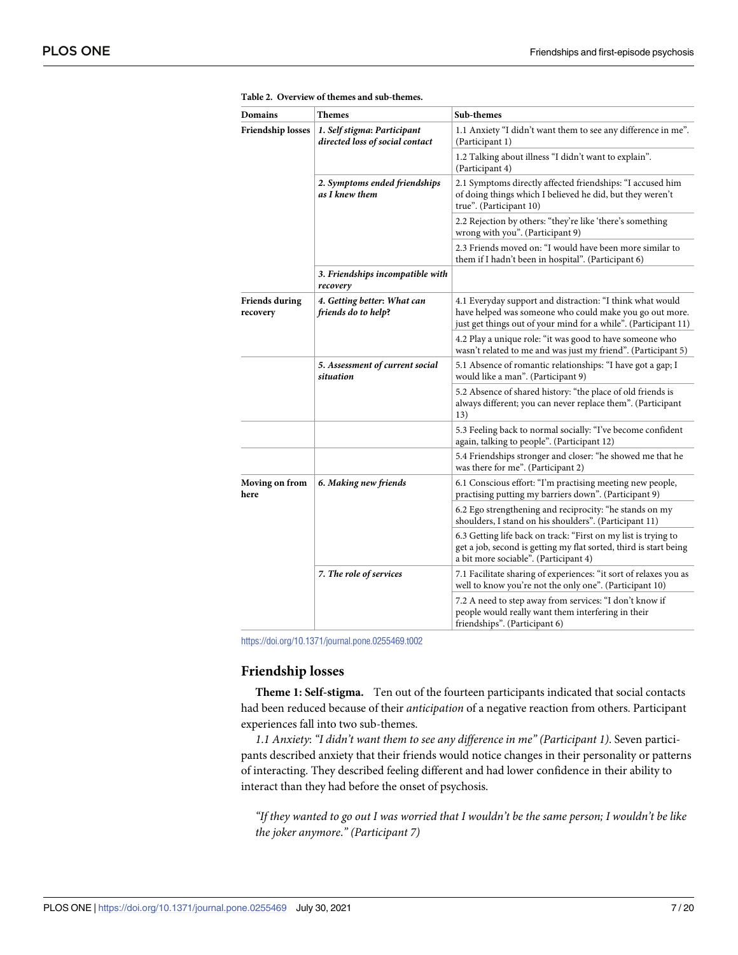| Domains                           | Themes                                                         | Sub-themes                                                                                                                                                                              |
|-----------------------------------|----------------------------------------------------------------|-----------------------------------------------------------------------------------------------------------------------------------------------------------------------------------------|
| Friendship losses                 | 1. Self stigma: Participant<br>directed loss of social contact | 1.1 Anxiety "I didn't want them to see any difference in me".<br>(Participant 1)                                                                                                        |
|                                   |                                                                | 1.2 Talking about illness "I didn't want to explain".<br>(Participant 4)                                                                                                                |
|                                   | 2. Symptoms ended friendships<br>as I knew them                | 2.1 Symptoms directly affected friendships: "I accused him<br>of doing things which I believed he did, but they weren't<br>true". (Participant 10)                                      |
|                                   |                                                                | 2.2 Rejection by others: "they're like 'there's something<br>wrong with you". (Participant 9)                                                                                           |
|                                   |                                                                | 2.3 Friends moved on: "I would have been more similar to<br>them if I hadn't been in hospital". (Participant 6)                                                                         |
|                                   | 3. Friendships incompatible with<br>recovery                   |                                                                                                                                                                                         |
| <b>Friends during</b><br>recovery | 4. Getting better: What can<br>friends do to help?             | 4.1 Everyday support and distraction: "I think what would<br>have helped was someone who could make you go out more.<br>just get things out of your mind for a while". (Participant 11) |
|                                   |                                                                | 4.2 Play a unique role: "it was good to have someone who<br>wasn't related to me and was just my friend". (Participant 5)                                                               |
|                                   | 5. Assessment of current social<br>situation                   | 5.1 Absence of romantic relationships: "I have got a gap; I<br>would like a man". (Participant 9)                                                                                       |
|                                   |                                                                | 5.2 Absence of shared history: "the place of old friends is<br>always different; you can never replace them". (Participant<br>13)                                                       |
|                                   |                                                                | 5.3 Feeling back to normal socially: "I've become confident<br>again, talking to people". (Participant 12)                                                                              |
|                                   |                                                                | 5.4 Friendships stronger and closer: "he showed me that he<br>was there for me". (Participant 2)                                                                                        |
| Moving on from<br>here            | 6. Making new friends                                          | 6.1 Conscious effort: "I'm practising meeting new people,<br>practising putting my barriers down". (Participant 9)                                                                      |
|                                   |                                                                | 6.2 Ego strengthening and reciprocity: "he stands on my<br>shoulders, I stand on his shoulders". (Participant 11)                                                                       |
|                                   |                                                                | 6.3 Getting life back on track: "First on my list is trying to<br>get a job, second is getting my flat sorted, third is start being<br>a bit more sociable". (Participant 4)            |
|                                   | 7. The role of services                                        | 7.1 Facilitate sharing of experiences: "it sort of relaxes you as<br>well to know you're not the only one". (Participant 10)                                                            |
|                                   |                                                                | 7.2 A need to step away from services: "I don't know if<br>people would really want them interfering in their<br>friendships". (Participant 6)                                          |

<span id="page-6-0"></span>

|  |  | Table 2. Overview of themes and sub-themes. |  |
|--|--|---------------------------------------------|--|
|--|--|---------------------------------------------|--|

<https://doi.org/10.1371/journal.pone.0255469.t002>

#### **Friendship losses**

**Theme 1: Self-stigma.** Ten out of the fourteen participants indicated that social contacts had been reduced because of their *anticipation* of a negative reaction from others. Participant experiences fall into two sub-themes.

*1*.*1 Anxiety*: *"I didn't want them to see any difference in me" (Participant 1)*. Seven participants described anxiety that their friends would notice changes in their personality or patterns of interacting. They described feeling different and had lower confidence in their ability to interact than they had before the onset of psychosis.

"If they wanted to go out I was worried that I wouldn't be the same person; I wouldn't be like *the joker anymore*.*" (Participant 7)*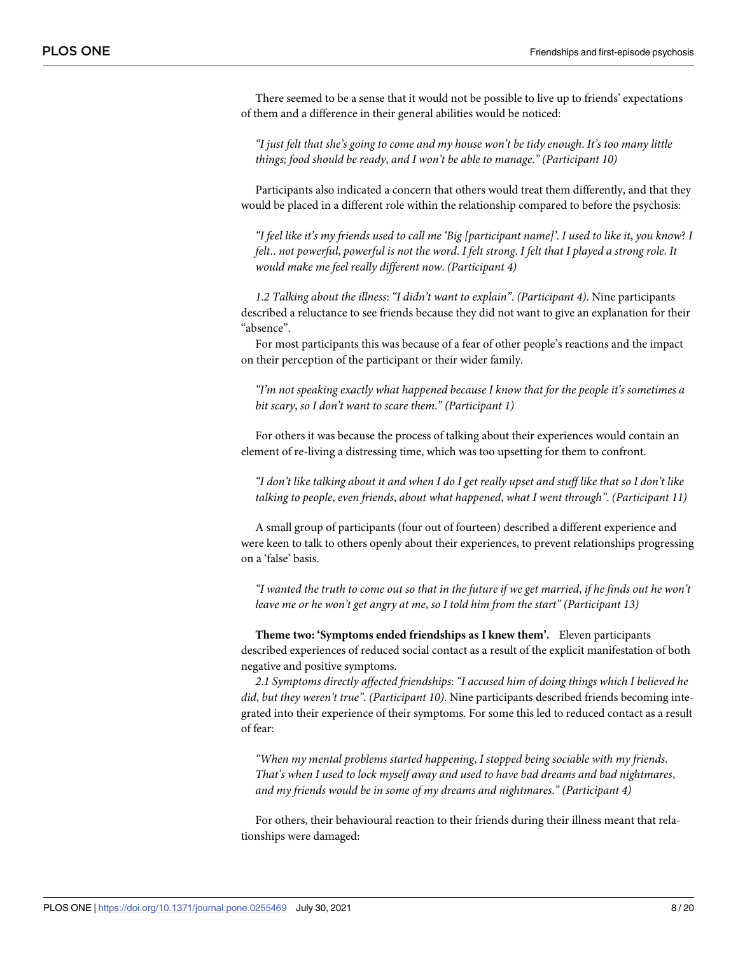There seemed to be a sense that it would not be possible to live up to friends' expectations of them and a difference in their general abilities would be noticed:

"I just felt that she's going to come and my house won't be tidy enough. It's too many little *things; food should be ready*, *and I won't be able to manage*.*" (Participant 10)*

Participants also indicated a concern that others would treat them differently, and that they would be placed in a different role within the relationship compared to before the psychosis:

"I feel like it's my friends used to call me 'Big [participant name]'. I used to like it, you know? I felt.. not powerful, powerful is not the word. I felt strong. I felt that I played a strong role. It *would make me feel really different now*. *(Participant 4)*

*1*.*2 Talking about the illness*: *"I didn't want to explain"*. *(Participant 4)*. Nine participants described a reluctance to see friends because they did not want to give an explanation for their "absence".

For most participants this was because of a fear of other people's reactions and the impact on their perception of the participant or their wider family.

*"I'm not speaking exactly what happened because I know that for the people it's sometimes a bit scary*, *so I don't want to scare them*.*" (Participant 1)*

For others it was because the process of talking about their experiences would contain an element of re-living a distressing time, which was too upsetting for them to confront.

"I don't like talking about it and when I do I get really upset and stuff like that so I don't like *talking to people*, *even friends*, *about what happened*, *what I went through"*. *(Participant 11)*

A small group of participants (four out of fourteen) described a different experience and were keen to talk to others openly about their experiences, to prevent relationships progressing on a 'false' basis.

"I wanted the truth to come out so that in the future if we get married, if he finds out he won't *leave me or he won't get angry at me*, *so I told him from the start" (Participant 13)*

**Theme two: 'Symptoms ended friendships as I knew them'.** Eleven participants described experiences of reduced social contact as a result of the explicit manifestation of both negative and positive symptoms.

*2*.*1 Symptoms directly affected friendships*: *"I accused him of doing things which I believed he did*, *but they weren't true"*. *(Participant 10)*. Nine participants described friends becoming integrated into their experience of their symptoms. For some this led to reduced contact as a result of fear:

*"When my mental problems started happening*, *I stopped being sociable with my friends*. *That's when I used to lock myself away and used to have bad dreams and bad nightmares*, *and my friends would be in some of my dreams and nightmares*.*" (Participant 4)*

For others, their behavioural reaction to their friends during their illness meant that relationships were damaged: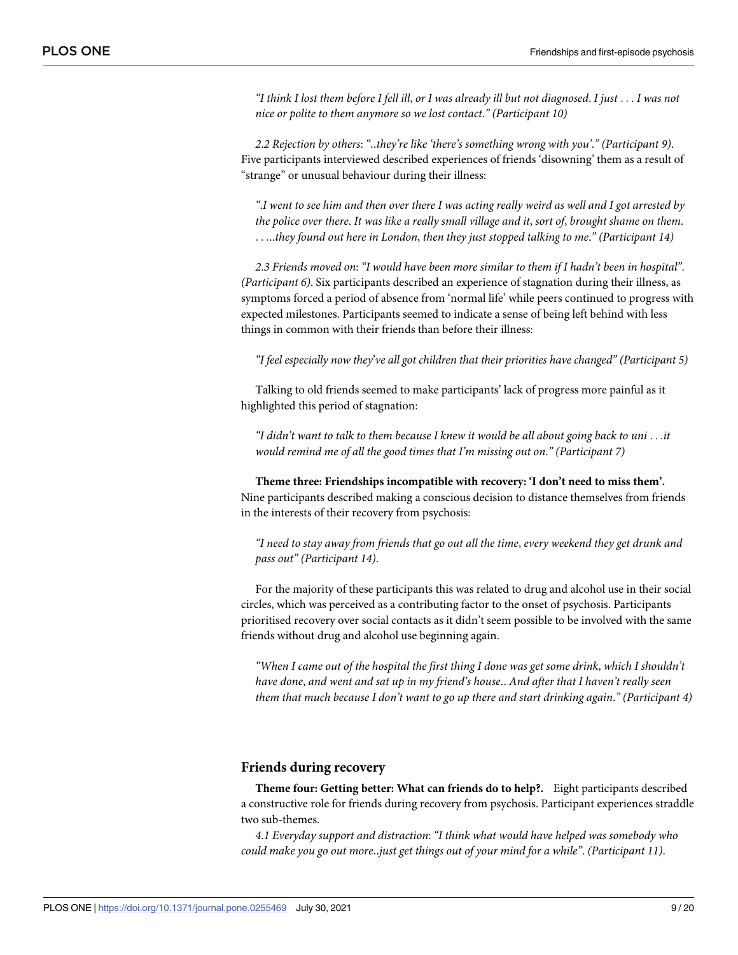"I think I lost them before I fell ill, or I was already ill but not diagnosed. I just . . . I was not *nice or polite to them anymore so we lost contact*.*" (Participant 10)*

*2*.*2 Rejection by others*: *"*‥*they're like 'there's something wrong with you'*.*" (Participant 9)*. Five participants interviewed described experiences of friends 'disowning' them as a result of "strange" or unusual behaviour during their illness:

".I went to see him and then over there I was acting really weird as well and I got arrested by the police over there. It was like a really small village and it, sort of, brought shame on them. . . .‥*they found out here in London*, *then they just stopped talking to me*.*" (Participant 14)*

2.3 Friends moved on: "I would have been more similar to them if I hadn't been in hospital". *(Participant 6)*. Six participants described an experience of stagnation during their illness, as symptoms forced a period of absence from 'normal life' while peers continued to progress with expected milestones. Participants seemed to indicate a sense of being left behind with less things in common with their friends than before their illness:

*"I feel especially now they*'*ve all got children that their priorities have changed" (Participant 5)*

Talking to old friends seemed to make participants' lack of progress more painful as it highlighted this period of stagnation:

"I didn't want to talk to them because I knew it would be all about going back to uni...it *would remind me of all the good times that I'm missing out on*.*" (Participant 7)*

**Theme three: Friendships incompatible with recovery: 'I don't need to miss them'.** Nine participants described making a conscious decision to distance themselves from friends in the interests of their recovery from psychosis:

"I need to stay away from friends that go out all the time, every weekend they get drunk and *pass out" (Participant 14)*.

For the majority of these participants this was related to drug and alcohol use in their social circles, which was perceived as a contributing factor to the onset of psychosis. Participants prioritised recovery over social contacts as it didn't seem possible to be involved with the same friends without drug and alcohol use beginning again.

"When I came out of the hospital the first thing I done was get some drink, which I shouldn't *have done*, *and went and sat up in my friend's house*‥ *And after that I haven't really seen them that much because I don't want to go up there and start drinking again*.*" (Participant 4)*

#### **Friends during recovery**

**Theme four: Getting better: What can friends do to help?.** Eight participants described a constructive role for friends during recovery from psychosis. Participant experiences straddle two sub-themes.

*4*.*1 Everyday support and distraction*: *"I think what would have helped was somebody who could make you go out more*‥*just get things out of your mind for a while"*. *(Participant 11)*.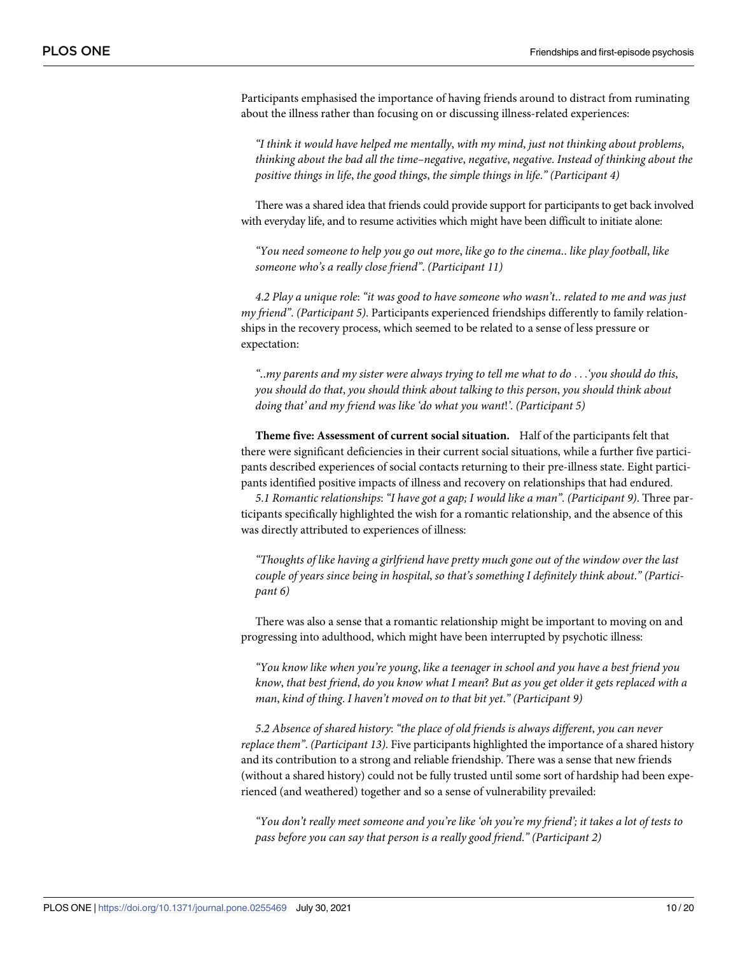Participants emphasised the importance of having friends around to distract from ruminating about the illness rather than focusing on or discussing illness-related experiences:

*"I think it would have helped me mentally*, *with my mind*, *just not thinking about problems*, *thinking about the bad all the time–negative*, *negative*, *negative*. *Instead of thinking about the positive things in life*, *the good things*, *the simple things in life*.*" (Participant 4)*

There was a shared idea that friends could provide support for participants to get back involved with everyday life, and to resume activities which might have been difficult to initiate alone:

*"You need someone to help you go out more*, *like go to the cinema*‥ *like play football*, *like someone who's a really close friend"*. *(Participant 11)*

4.2 Play a unique role: "it was good to have someone who wasn't.. related to me and was just *my friend"*. *(Participant 5)*. Participants experienced friendships differently to family relationships in the recovery process, which seemed to be related to a sense of less pressure or expectation:

"..my parents and my sister were always trying to tell me what to do . . . 'you should do this, *you should do that*, *you should think about talking to this person*, *you should think about doing that' and my friend was like 'do what you want*!*'*. *(Participant 5)*

**Theme five: Assessment of current social situation.** Half of the participants felt that there were significant deficiencies in their current social situations, while a further five participants described experiences of social contacts returning to their pre-illness state. Eight participants identified positive impacts of illness and recovery on relationships that had endured.

*5*.*1 Romantic relationships*: *"I have got a gap; I would like a man"*. *(Participant 9)*. Three participants specifically highlighted the wish for a romantic relationship, and the absence of this was directly attributed to experiences of illness:

*"Thoughts of like having a girlfriend have pretty much gone out of the window over the last couple of years since being in hospital*, *so that's something I definitely think about*.*" (Participant 6)*

There was also a sense that a romantic relationship might be important to moving on and progressing into adulthood, which might have been interrupted by psychotic illness:

*"You know like when you're young*, *like a teenager in school and you have a best friend you* know, that best friend, do you know what I mean? But as you get older it gets replaced with a *man*, *kind of thing*. *I haven't moved on to that bit yet*.*" (Participant 9)*

*5*.*2 Absence of shared history*: *"the place of old friends is always different*, *you can never replace them"*. *(Participant 13)*. Five participants highlighted the importance of a shared history and its contribution to a strong and reliable friendship. There was a sense that new friends (without a shared history) could not be fully trusted until some sort of hardship had been experienced (and weathered) together and so a sense of vulnerability prevailed:

"You don't really meet someone and you're like 'oh you're my friend'; it takes a lot of tests to *pass before you can say that person is a really good friend*.*" (Participant 2)*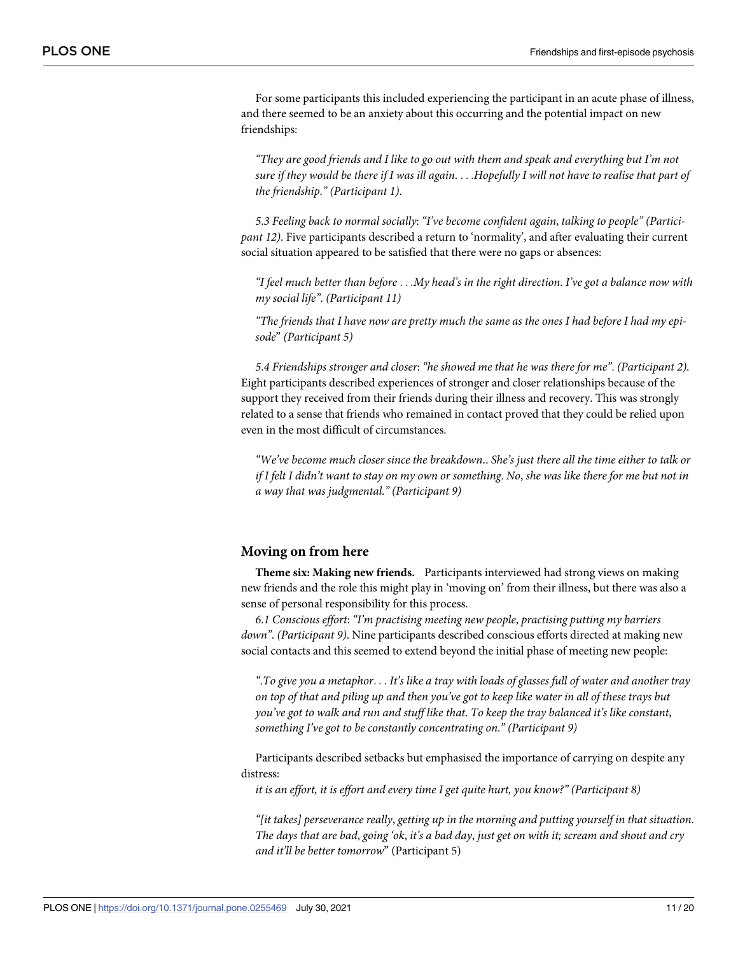For some participants this included experiencing the participant in an acute phase of illness, and there seemed to be an anxiety about this occurring and the potential impact on new friendships:

*"They are good friends and I like to go out with them and speak and everything but I'm not* sure if they would be there if I was ill again.  $\ldots$  Hopefully I will not have to realise that part of *the friendship*.*" (Participant 1)*.

*5*.*3 Feeling back to normal socially*: *"I've become confident again*, *talking to people" (Participant 12)*. Five participants described a return to 'normality', and after evaluating their current social situation appeared to be satisfied that there were no gaps or absences:

*"I feel much better than before* . . .*My head's in the right direction*. *I've got a balance now with my social life"*. *(Participant 11)*

"The friends that I have now are pretty much the same as the ones I had before I had my epi*sode*" *(Participant 5)*

*5*.*4 Friendships stronger and closer*: *"he showed me that he was there for me"*. *(Participant 2)*. Eight participants described experiences of stronger and closer relationships because of the support they received from their friends during their illness and recovery. This was strongly related to a sense that friends who remained in contact proved that they could be relied upon even in the most difficult of circumstances.

*"We've become much closer since the breakdown*‥ *She's just there all the time either to talk or* if I felt I didn't want to stay on my own or something. No, she was like there for me but not in *a way that was judgmental*.*" (Participant 9)*

#### **Moving on from here**

**Theme six: Making new friends.** Participants interviewed had strong views on making new friends and the role this might play in 'moving on' from their illness, but there was also a sense of personal responsibility for this process.

*6*.*1 Conscious effort*: *"I'm practising meeting new people*, *practising putting my barriers down"*. *(Participant 9)*. Nine participants described conscious efforts directed at making new social contacts and this seemed to extend beyond the initial phase of meeting new people:

". To give you a metaphor.  $\ldots$  It's like a tray with loads of glasses full of water and another tray on top of that and piling up and then you've got to keep like water in all of these trays but *you've got to walk and run and stuff like that*. *To keep the tray balanced it's like constant*, *something I've got to be constantly concentrating on*.*" (Participant 9)*

Participants described setbacks but emphasised the importance of carrying on despite any distress:

*it is an effort, it is effort and every time I get quite hurt, you know?" (Participant 8)*

*"[it takes] perseverance really*, *getting up in the morning and putting yourself in that situation*. The days that are bad, going 'ok, it's a bad day, just get on with it; scream and shout and cry *and it'll be better tomorrow*" (Participant 5)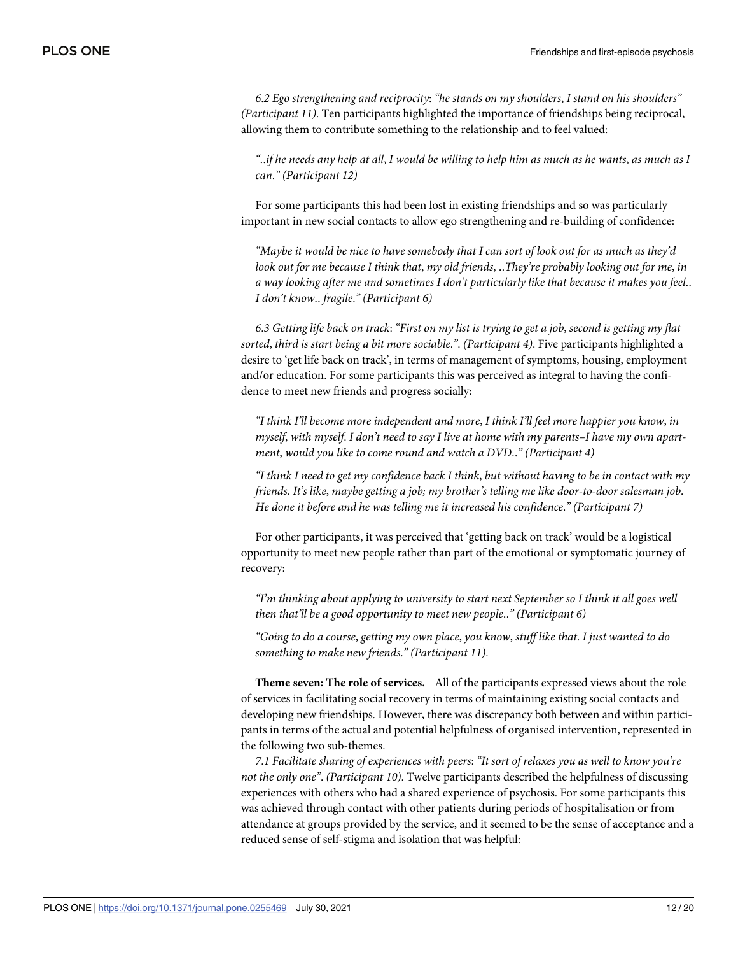*6*.*2 Ego strengthening and reciprocity*: *"he stands on my shoulders*, *I stand on his shoulders" (Participant 11)*. Ten participants highlighted the importance of friendships being reciprocal, allowing them to contribute something to the relationship and to feel valued:

if he needs any help at all, I would be willing to help him as much as he wants, as much as I...... *can*.*" (Participant 12)*

For some participants this had been lost in existing friendships and so was particularly important in new social contacts to allow ego strengthening and re-building of confidence:

"Maybe it would be nice to have somebody that I can sort of look out for as much as they'd *look out for me because I think that*, *my old friends*, ‥*They're probably looking out for me*, *in a way looking after me and sometimes I don't particularly like that because it makes you feel*‥ *I don't know*‥ *fragile*.*" (Participant 6)*

6.3 Getting life back on track: "First on my list is trying to get a job, second is getting my flat *sorted*, *third is start being a bit more sociable*.*"*. *(Participant 4)*. Five participants highlighted a desire to 'get life back on track', in terms of management of symptoms, housing, employment and/or education. For some participants this was perceived as integral to having the confidence to meet new friends and progress socially:

*"I think I'll become more independent and more*, *I think I'll feel more happier you know*, *in* myself, with myself. I don't need to say I live at home with my parents–I have my own apart*ment*, *would you like to come round and watch a DVD*‥*" (Participant 4)*

"I think I need to get my confidence back I think, but without having to be in contact with my *friends*. *It's like*, *maybe getting a job; my brother's telling me like door-to-door salesman job*. *He done it before and he was telling me it increased his confidence*.*" (Participant 7)*

For other participants, it was perceived that 'getting back on track' would be a logistical opportunity to meet new people rather than part of the emotional or symptomatic journey of recovery:

*"I'm thinking about applying to university to start next September so I think it all goes well then that'll be a good opportunity to meet new people*‥*" (Participant 6)*

*"Going to do a course*, *getting my own place*, *you know*, *stuff like that*. *I just wanted to do something to make new friends*.*" (Participant 11)*.

**Theme seven: The role of services.** All of the participants expressed views about the role of services in facilitating social recovery in terms of maintaining existing social contacts and developing new friendships. However, there was discrepancy both between and within participants in terms of the actual and potential helpfulness of organised intervention, represented in the following two sub-themes.

*7*.*1 Facilitate sharing of experiences with peers*: *"It sort of relaxes you as well to know you're not the only one"*. *(Participant 10)*. Twelve participants described the helpfulness of discussing experiences with others who had a shared experience of psychosis. For some participants this was achieved through contact with other patients during periods of hospitalisation or from attendance at groups provided by the service, and it seemed to be the sense of acceptance and a reduced sense of self-stigma and isolation that was helpful: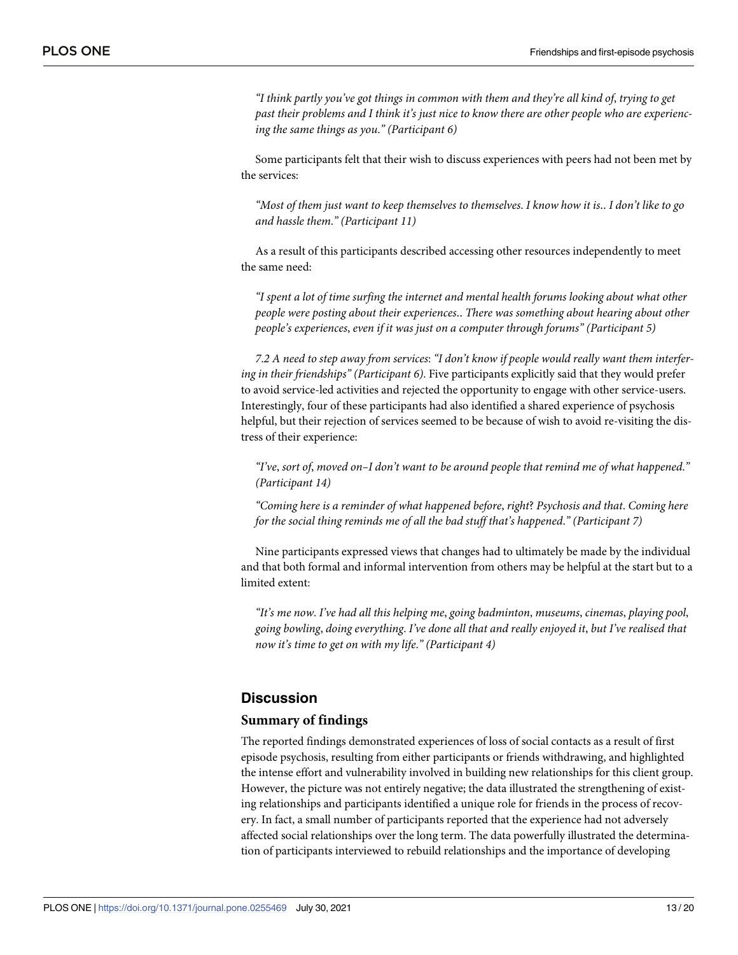*"I think partly you've got things in common with them and they're all kind of*, *trying to get past their problems and I think it's just nice to know there are other people who are experiencing the same things as you*.*" (Participant 6)*

Some participants felt that their wish to discuss experiences with peers had not been met by the services:

"Most of them just want to keep themselves to themselves. I know how it is.. I don't like to go *and hassle them*.*" (Participant 11)*

As a result of this participants described accessing other resources independently to meet the same need:

*"I spent a lot of time surfing the internet and mental health forums looking about what other people were posting about their experiences*‥ *There was something about hearing about other people's experiences*, *even if it was just on a computer through forums" (Participant 5)*

7.2 A need to step away from services: "I don't know if people would really want them interfer*ing in their friendships" (Participant 6)*. Five participants explicitly said that they would prefer to avoid service-led activities and rejected the opportunity to engage with other service-users. Interestingly, four of these participants had also identified a shared experience of psychosis helpful, but their rejection of services seemed to be because of wish to avoid re-visiting the distress of their experience:

*"I've*, *sort of*, *moved on–I don't want to be around people that remind me of what happened*.*" (Participant 14)*

*"Coming here is a reminder of what happened before*, *right*? *Psychosis and that*. *Coming here for the social thing reminds me of all the bad stuff that's happened*.*" (Participant 7)*

Nine participants expressed views that changes had to ultimately be made by the individual and that both formal and informal intervention from others may be helpful at the start but to a limited extent:

*"It's me now*. *I've had all this helping me*, *going badminton*, *museums*, *cinemas*, *playing pool*, *going bowling*, *doing everything*. *I've done all that and really enjoyed it*, *but I've realised that now it's time to get on with my life*.*" (Participant 4)*

# **Discussion**

#### **Summary of findings**

The reported findings demonstrated experiences of loss of social contacts as a result of first episode psychosis, resulting from either participants or friends withdrawing, and highlighted the intense effort and vulnerability involved in building new relationships for this client group. However, the picture was not entirely negative; the data illustrated the strengthening of existing relationships and participants identified a unique role for friends in the process of recovery. In fact, a small number of participants reported that the experience had not adversely affected social relationships over the long term. The data powerfully illustrated the determination of participants interviewed to rebuild relationships and the importance of developing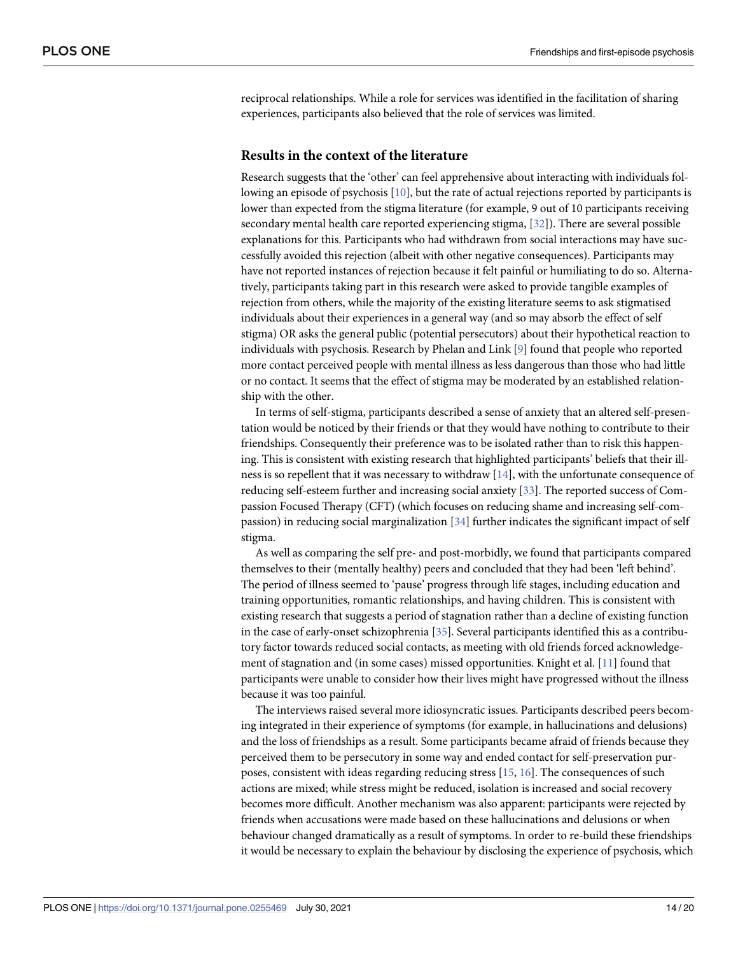<span id="page-13-0"></span>reciprocal relationships. While a role for services was identified in the facilitation of sharing experiences, participants also believed that the role of services was limited.

#### **Results in the context of the literature**

Research suggests that the 'other' can feel apprehensive about interacting with individuals following an episode of psychosis [\[10\]](#page-17-0), but the rate of actual rejections reported by participants is lower than expected from the stigma literature (for example, 9 out of 10 participants receiving secondary mental health care reported experiencing stigma, [[32](#page-18-0)]). There are several possible explanations for this. Participants who had withdrawn from social interactions may have successfully avoided this rejection (albeit with other negative consequences). Participants may have not reported instances of rejection because it felt painful or humiliating to do so. Alternatively, participants taking part in this research were asked to provide tangible examples of rejection from others, while the majority of the existing literature seems to ask stigmatised individuals about their experiences in a general way (and so may absorb the effect of self stigma) OR asks the general public (potential persecutors) about their hypothetical reaction to individuals with psychosis. Research by Phelan and Link [[9](#page-17-0)] found that people who reported more contact perceived people with mental illness as less dangerous than those who had little or no contact. It seems that the effect of stigma may be moderated by an established relationship with the other.

In terms of self-stigma, participants described a sense of anxiety that an altered self-presentation would be noticed by their friends or that they would have nothing to contribute to their friendships. Consequently their preference was to be isolated rather than to risk this happening. This is consistent with existing research that highlighted participants' beliefs that their illness is so repellent that it was necessary to withdraw [\[14\]](#page-17-0), with the unfortunate consequence of reducing self-esteem further and increasing social anxiety [\[33\]](#page-18-0). The reported success of Compassion Focused Therapy (CFT) (which focuses on reducing shame and increasing self-compassion) in reducing social marginalization [\[34\]](#page-18-0) further indicates the significant impact of self stigma.

As well as comparing the self pre- and post-morbidly, we found that participants compared themselves to their (mentally healthy) peers and concluded that they had been 'left behind'. The period of illness seemed to 'pause' progress through life stages, including education and training opportunities, romantic relationships, and having children. This is consistent with existing research that suggests a period of stagnation rather than a decline of existing function in the case of early-onset schizophrenia [[35](#page-18-0)]. Several participants identified this as a contributory factor towards reduced social contacts, as meeting with old friends forced acknowledgement of stagnation and (in some cases) missed opportunities. Knight et al. [[11](#page-17-0)] found that participants were unable to consider how their lives might have progressed without the illness because it was too painful.

The interviews raised several more idiosyncratic issues. Participants described peers becoming integrated in their experience of symptoms (for example, in hallucinations and delusions) and the loss of friendships as a result. Some participants became afraid of friends because they perceived them to be persecutory in some way and ended contact for self-preservation purposes, consistent with ideas regarding reducing stress [\[15,](#page-17-0) [16\]](#page-17-0). The consequences of such actions are mixed; while stress might be reduced, isolation is increased and social recovery becomes more difficult. Another mechanism was also apparent: participants were rejected by friends when accusations were made based on these hallucinations and delusions or when behaviour changed dramatically as a result of symptoms. In order to re-build these friendships it would be necessary to explain the behaviour by disclosing the experience of psychosis, which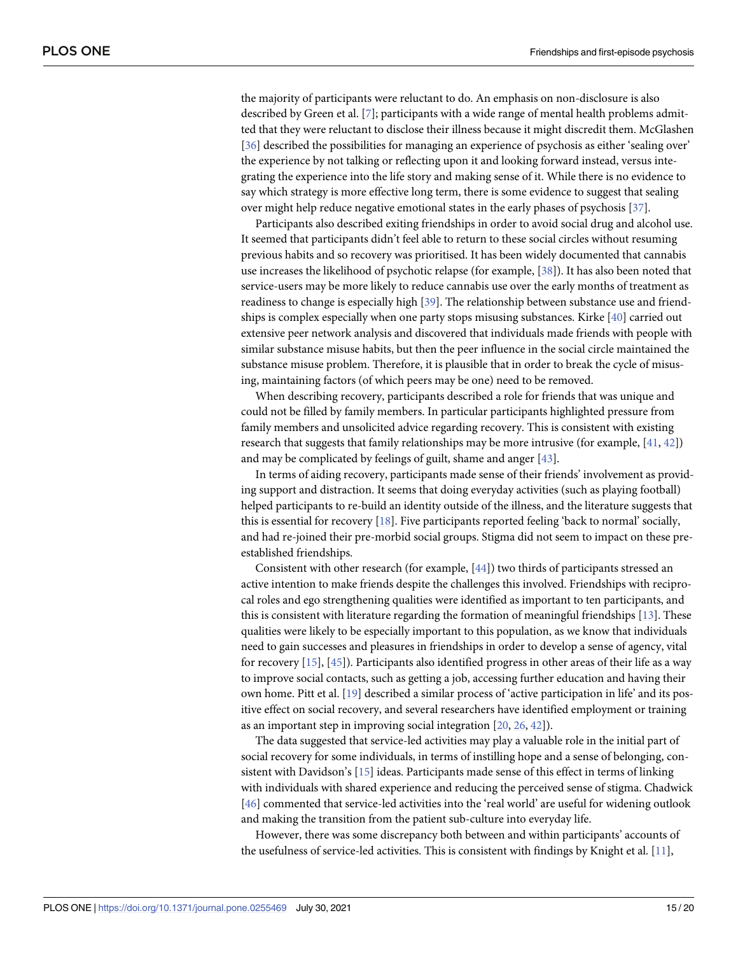<span id="page-14-0"></span>the majority of participants were reluctant to do. An emphasis on non-disclosure is also described by Green et al. [\[7](#page-17-0)]; participants with a wide range of mental health problems admitted that they were reluctant to disclose their illness because it might discredit them. McGlashen [\[36\]](#page-18-0) described the possibilities for managing an experience of psychosis as either 'sealing over' the experience by not talking or reflecting upon it and looking forward instead, versus integrating the experience into the life story and making sense of it. While there is no evidence to say which strategy is more effective long term, there is some evidence to suggest that sealing over might help reduce negative emotional states in the early phases of psychosis [[37](#page-18-0)].

Participants also described exiting friendships in order to avoid social drug and alcohol use. It seemed that participants didn't feel able to return to these social circles without resuming previous habits and so recovery was prioritised. It has been widely documented that cannabis use increases the likelihood of psychotic relapse (for example, [\[38\]](#page-18-0)). It has also been noted that service-users may be more likely to reduce cannabis use over the early months of treatment as readiness to change is especially high [\[39\]](#page-18-0). The relationship between substance use and friendships is complex especially when one party stops misusing substances. Kirke [\[40\]](#page-18-0) carried out extensive peer network analysis and discovered that individuals made friends with people with similar substance misuse habits, but then the peer influence in the social circle maintained the substance misuse problem. Therefore, it is plausible that in order to break the cycle of misusing, maintaining factors (of which peers may be one) need to be removed.

When describing recovery, participants described a role for friends that was unique and could not be filled by family members. In particular participants highlighted pressure from family members and unsolicited advice regarding recovery. This is consistent with existing research that suggests that family relationships may be more intrusive (for example, [[41](#page-18-0), [42](#page-18-0)]) and may be complicated by feelings of guilt, shame and anger [\[43\]](#page-18-0).

In terms of aiding recovery, participants made sense of their friends' involvement as providing support and distraction. It seems that doing everyday activities (such as playing football) helped participants to re-build an identity outside of the illness, and the literature suggests that this is essential for recovery [[18](#page-17-0)]. Five participants reported feeling 'back to normal' socially, and had re-joined their pre-morbid social groups. Stigma did not seem to impact on these preestablished friendships.

Consistent with other research (for example, [\[44\]](#page-19-0)) two thirds of participants stressed an active intention to make friends despite the challenges this involved. Friendships with reciprocal roles and ego strengthening qualities were identified as important to ten participants, and this is consistent with literature regarding the formation of meaningful friendships [\[13\]](#page-17-0). These qualities were likely to be especially important to this population, as we know that individuals need to gain successes and pleasures in friendships in order to develop a sense of agency, vital for recovery [[15](#page-17-0)], [[45\]](#page-19-0)). Participants also identified progress in other areas of their life as a way to improve social contacts, such as getting a job, accessing further education and having their own home. Pitt et al. [\[19\]](#page-17-0) described a similar process of 'active participation in life' and its positive effect on social recovery, and several researchers have identified employment or training as an important step in improving social integration [\[20,](#page-17-0) [26,](#page-18-0) [42\]](#page-18-0)).

The data suggested that service-led activities may play a valuable role in the initial part of social recovery for some individuals, in terms of instilling hope and a sense of belonging, consistent with Davidson's [\[15\]](#page-17-0) ideas. Participants made sense of this effect in terms of linking with individuals with shared experience and reducing the perceived sense of stigma. Chadwick [\[46\]](#page-19-0) commented that service-led activities into the 'real world' are useful for widening outlook and making the transition from the patient sub-culture into everyday life.

However, there was some discrepancy both between and within participants' accounts of the usefulness of service-led activities. This is consistent with findings by Knight et al. [[11](#page-17-0)],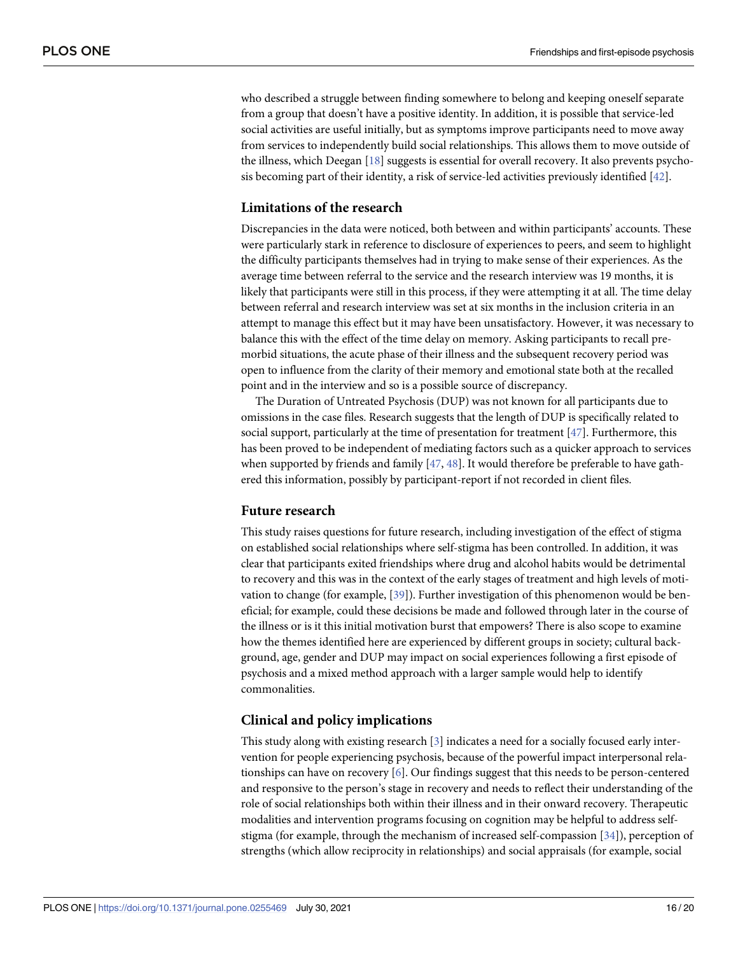<span id="page-15-0"></span>who described a struggle between finding somewhere to belong and keeping oneself separate from a group that doesn't have a positive identity. In addition, it is possible that service-led social activities are useful initially, but as symptoms improve participants need to move away from services to independently build social relationships. This allows them to move outside of the illness, which Deegan [\[18\]](#page-17-0) suggests is essential for overall recovery. It also prevents psychosis becoming part of their identity, a risk of service-led activities previously identified [\[42\]](#page-18-0).

#### **Limitations of the research**

Discrepancies in the data were noticed, both between and within participants' accounts. These were particularly stark in reference to disclosure of experiences to peers, and seem to highlight the difficulty participants themselves had in trying to make sense of their experiences. As the average time between referral to the service and the research interview was 19 months, it is likely that participants were still in this process, if they were attempting it at all. The time delay between referral and research interview was set at six months in the inclusion criteria in an attempt to manage this effect but it may have been unsatisfactory. However, it was necessary to balance this with the effect of the time delay on memory. Asking participants to recall premorbid situations, the acute phase of their illness and the subsequent recovery period was open to influence from the clarity of their memory and emotional state both at the recalled point and in the interview and so is a possible source of discrepancy.

The Duration of Untreated Psychosis (DUP) was not known for all participants due to omissions in the case files. Research suggests that the length of DUP is specifically related to social support, particularly at the time of presentation for treatment [[47](#page-19-0)]. Furthermore, this has been proved to be independent of mediating factors such as a quicker approach to services when supported by friends and family [[47](#page-19-0), [48](#page-19-0)]. It would therefore be preferable to have gathered this information, possibly by participant-report if not recorded in client files.

#### **Future research**

This study raises questions for future research, including investigation of the effect of stigma on established social relationships where self-stigma has been controlled. In addition, it was clear that participants exited friendships where drug and alcohol habits would be detrimental to recovery and this was in the context of the early stages of treatment and high levels of motivation to change (for example, [\[39\]](#page-18-0)). Further investigation of this phenomenon would be beneficial; for example, could these decisions be made and followed through later in the course of the illness or is it this initial motivation burst that empowers? There is also scope to examine how the themes identified here are experienced by different groups in society; cultural background, age, gender and DUP may impact on social experiences following a first episode of psychosis and a mixed method approach with a larger sample would help to identify commonalities.

#### **Clinical and policy implications**

This study along with existing research [\[3\]](#page-17-0) indicates a need for a socially focused early intervention for people experiencing psychosis, because of the powerful impact interpersonal relationships can have on recovery [\[6\]](#page-17-0). Our findings suggest that this needs to be person-centered and responsive to the person's stage in recovery and needs to reflect their understanding of the role of social relationships both within their illness and in their onward recovery. Therapeutic modalities and intervention programs focusing on cognition may be helpful to address selfstigma (for example, through the mechanism of increased self-compassion [\[34\]](#page-18-0)), perception of strengths (which allow reciprocity in relationships) and social appraisals (for example, social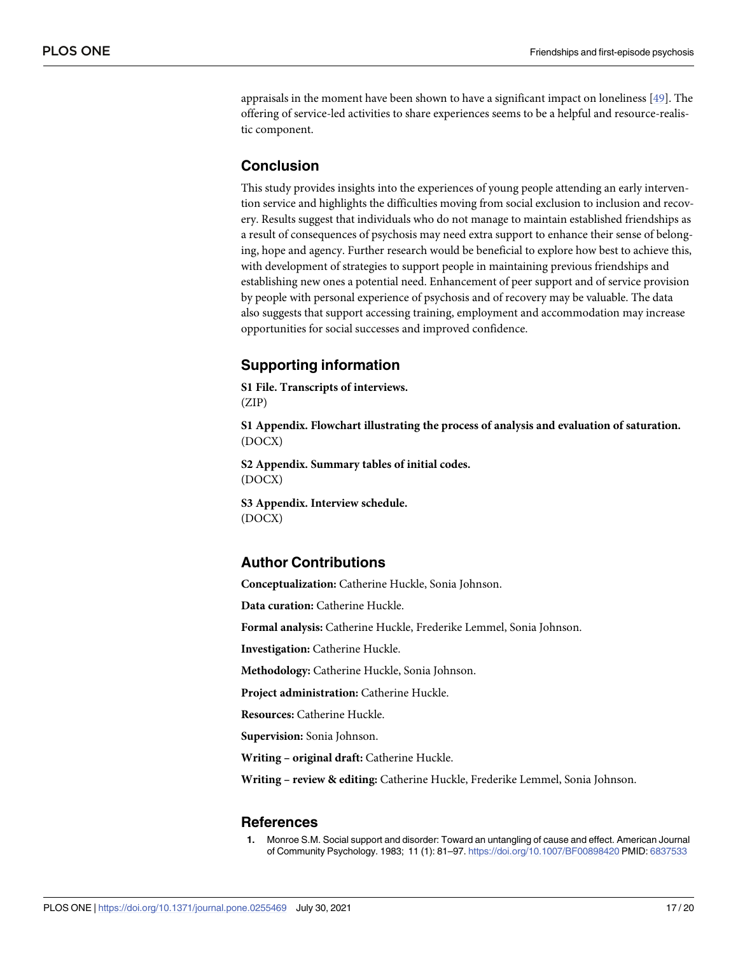<span id="page-16-0"></span>appraisals in the moment have been shown to have a significant impact on loneliness [\[49\]](#page-19-0). The offering of service-led activities to share experiences seems to be a helpful and resource-realistic component.

# **Conclusion**

This study provides insights into the experiences of young people attending an early intervention service and highlights the difficulties moving from social exclusion to inclusion and recovery. Results suggest that individuals who do not manage to maintain established friendships as a result of consequences of psychosis may need extra support to enhance their sense of belonging, hope and agency. Further research would be beneficial to explore how best to achieve this, with development of strategies to support people in maintaining previous friendships and establishing new ones a potential need. Enhancement of peer support and of service provision by people with personal experience of psychosis and of recovery may be valuable. The data also suggests that support accessing training, employment and accommodation may increase opportunities for social successes and improved confidence.

# **Supporting information**

**S1 [File.](http://www.plosone.org/article/fetchSingleRepresentation.action?uri=info:doi/10.1371/journal.pone.0255469.s001) Transcripts of interviews.**

(ZIP)

**S1 [Appendix](http://www.plosone.org/article/fetchSingleRepresentation.action?uri=info:doi/10.1371/journal.pone.0255469.s002). Flowchart illustrating the process of analysis and evaluation of saturation.** (DOCX)

**S2 [Appendix](http://www.plosone.org/article/fetchSingleRepresentation.action?uri=info:doi/10.1371/journal.pone.0255469.s003). Summary tables of initial codes.** (DOCX)

**S3 [Appendix](http://www.plosone.org/article/fetchSingleRepresentation.action?uri=info:doi/10.1371/journal.pone.0255469.s004). Interview schedule.** (DOCX)

# **Author Contributions**

**Conceptualization:** Catherine Huckle, Sonia Johnson.

**Data curation:** Catherine Huckle.

**Formal analysis:** Catherine Huckle, Frederike Lemmel, Sonia Johnson.

**Investigation:** Catherine Huckle.

**Methodology:** Catherine Huckle, Sonia Johnson.

**Project administration:** Catherine Huckle.

**Resources:** Catherine Huckle.

**Supervision:** Sonia Johnson.

**Writing – original draft:** Catherine Huckle.

**Writing – review & editing:** Catherine Huckle, Frederike Lemmel, Sonia Johnson.

### **References**

**[1](#page-1-0).** Monroe S.M. Social support and disorder: Toward an untangling of cause and effect. American Journal of Community Psychology. 1983; 11 (1): 81–97. <https://doi.org/10.1007/BF00898420> PMID: [6837533](http://www.ncbi.nlm.nih.gov/pubmed/6837533)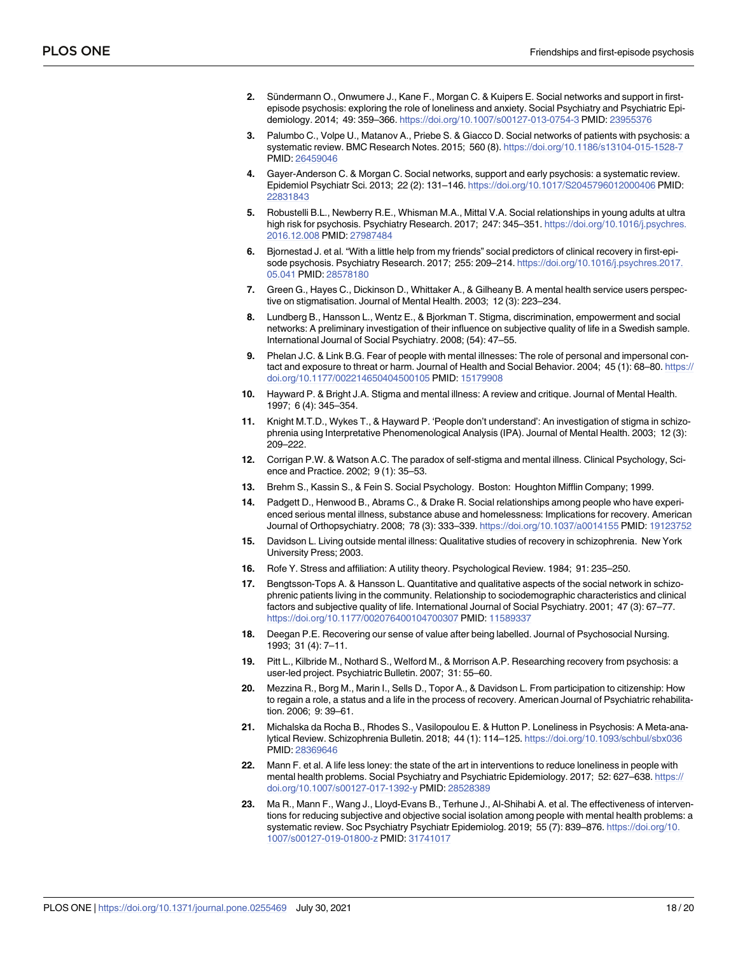- <span id="page-17-0"></span>**[2](#page-1-0).** Sündermann O., Onwumere J., Kane F., Morgan C. & Kuipers E. Social networks and support in firstepisode psychosis: exploring the role of loneliness and anxiety. Social Psychiatry and Psychiatric Epidemiology. 2014; 49: 359–366. <https://doi.org/10.1007/s00127-013-0754-3> PMID: [23955376](http://www.ncbi.nlm.nih.gov/pubmed/23955376)
- **[3](#page-1-0).** Palumbo C., Volpe U., Matanov A., Priebe S. & Giacco D. Social networks of patients with psychosis: a systematic review. BMC Research Notes. 2015; 560 (8). <https://doi.org/10.1186/s13104-015-1528-7> PMID: [26459046](http://www.ncbi.nlm.nih.gov/pubmed/26459046)
- **[4](#page-1-0).** Gayer-Anderson C. & Morgan C. Social networks, support and early psychosis: a systematic review. Epidemiol Psychiatr Sci. 2013; 22 (2): 131–146. <https://doi.org/10.1017/S2045796012000406> PMID: [22831843](http://www.ncbi.nlm.nih.gov/pubmed/22831843)
- **[5](#page-1-0).** Robustelli B.L., Newberry R.E., Whisman M.A., Mittal V.A. Social relationships in young adults at ultra high risk for psychosis. Psychiatry Research. 2017; 247: 345–351. [https://doi.org/10.1016/j.psychres.](https://doi.org/10.1016/j.psychres.2016.12.008) [2016.12.008](https://doi.org/10.1016/j.psychres.2016.12.008) PMID: [27987484](http://www.ncbi.nlm.nih.gov/pubmed/27987484)
- **[6](#page-1-0).** Bjornestad J. et al. "With a little help from my friends" social predictors of clinical recovery in first-episode psychosis. Psychiatry Research. 2017; 255: 209–214. [https://doi.org/10.1016/j.psychres.2017.](https://doi.org/10.1016/j.psychres.2017.05.041) [05.041](https://doi.org/10.1016/j.psychres.2017.05.041) PMID: [28578180](http://www.ncbi.nlm.nih.gov/pubmed/28578180)
- **[7](#page-1-0).** Green G., Hayes C., Dickinson D., Whittaker A., & Gilheany B. A mental health service users perspective on stigmatisation. Journal of Mental Health. 2003; 12 (3): 223–234.
- **[8](#page-1-0).** Lundberg B., Hansson L., Wentz E., & Bjorkman T. Stigma, discrimination, empowerment and social networks: A preliminary investigation of their influence on subjective quality of life in a Swedish sample. International Journal of Social Psychiatry. 2008; (54): 47–55.
- **[9](#page-1-0).** Phelan J.C. & Link B.G. Fear of people with mental illnesses: The role of personal and impersonal contact and exposure to threat or harm. Journal of Health and Social Behavior. 2004; 45 (1): 68–80. [https://](https://doi.org/10.1177/002214650404500105) [doi.org/10.1177/002214650404500105](https://doi.org/10.1177/002214650404500105) PMID: [15179908](http://www.ncbi.nlm.nih.gov/pubmed/15179908)
- **[10](#page-1-0).** Hayward P. & Bright J.A. Stigma and mental illness: A review and critique. Journal of Mental Health. 1997; 6 (4): 345–354.
- **[11](#page-1-0).** Knight M.T.D., Wykes T., & Hayward P. 'People don't understand': An investigation of stigma in schizophrenia using Interpretative Phenomenological Analysis (IPA). Journal of Mental Health. 2003; 12 (3): 209–222.
- **[12](#page-1-0).** Corrigan P.W. & Watson A.C. The paradox of self-stigma and mental illness. Clinical Psychology, Science and Practice. 2002; 9 (1): 35–53.
- **[13](#page-1-0).** Brehm S., Kassin S., & Fein S. Social Psychology. Boston: Houghton Mifflin Company; 1999.
- **[14](#page-1-0).** Padgett D., Henwood B., Abrams C., & Drake R. Social relationships among people who have experienced serious mental illness, substance abuse and homelessness: Implications for recovery. American Journal of Orthopsychiatry. 2008; 78 (3): 333–339. <https://doi.org/10.1037/a0014155> PMID: [19123752](http://www.ncbi.nlm.nih.gov/pubmed/19123752)
- **[15](#page-1-0).** Davidson L. Living outside mental illness: Qualitative studies of recovery in schizophrenia. New York University Press; 2003.
- **[16](#page-1-0).** Rofe Y. Stress and affiliation: A utility theory. Psychological Review. 1984; 91: 235–250.
- **[17](#page-1-0).** Bengtsson-Tops A. & Hansson L. Quantitative and qualitative aspects of the social network in schizophrenic patients living in the community. Relationship to sociodemographic characteristics and clinical factors and subjective quality of life. International Journal of Social Psychiatry. 2001; 47 (3): 67–77. <https://doi.org/10.1177/002076400104700307> PMID: [11589337](http://www.ncbi.nlm.nih.gov/pubmed/11589337)
- **[18](#page-2-0).** Deegan P.E. Recovering our sense of value after being labelled. Journal of Psychosocial Nursing. 1993; 31 (4): 7–11.
- **[19](#page-2-0).** Pitt L., Kilbride M., Nothard S., Welford M., & Morrison A.P. Researching recovery from psychosis: a user-led project. Psychiatric Bulletin. 2007; 31: 55–60.
- **[20](#page-2-0).** Mezzina R., Borg M., Marin I., Sells D., Topor A., & Davidson L. From participation to citizenship: How to regain a role, a status and a life in the process of recovery. American Journal of Psychiatric rehabilitation. 2006; 9: 39–61.
- **[21](#page-2-0).** Michalska da Rocha B., Rhodes S., Vasilopoulou E. & Hutton P. Loneliness in Psychosis: A Meta-analytical Review. Schizophrenia Bulletin. 2018; 44 (1): 114–125. <https://doi.org/10.1093/schbul/sbx036> PMID: [28369646](http://www.ncbi.nlm.nih.gov/pubmed/28369646)
- **[22](#page-2-0).** Mann F. et al. A life less loney: the state of the art in interventions to reduce loneliness in people with mental health problems. Social Psychiatry and Psychiatric Epidemiology. 2017; 52: 627–638. [https://](https://doi.org/10.1007/s00127-017-1392-y) [doi.org/10.1007/s00127-017-1392-y](https://doi.org/10.1007/s00127-017-1392-y) PMID: [28528389](http://www.ncbi.nlm.nih.gov/pubmed/28528389)
- **[23](#page-2-0).** Ma R., Mann F., Wang J., Lloyd-Evans B., Terhune J., Al-Shihabi A. et al. The effectiveness of interventions for reducing subjective and objective social isolation among people with mental health problems: a systematic review. Soc Psychiatry Psychiatr Epidemiolog. 2019; 55 (7): 839-876. [https://doi.org/10.](https://doi.org/10.1007/s00127-019-01800-z) [1007/s00127-019-01800-z](https://doi.org/10.1007/s00127-019-01800-z) PMID: [31741017](http://www.ncbi.nlm.nih.gov/pubmed/31741017)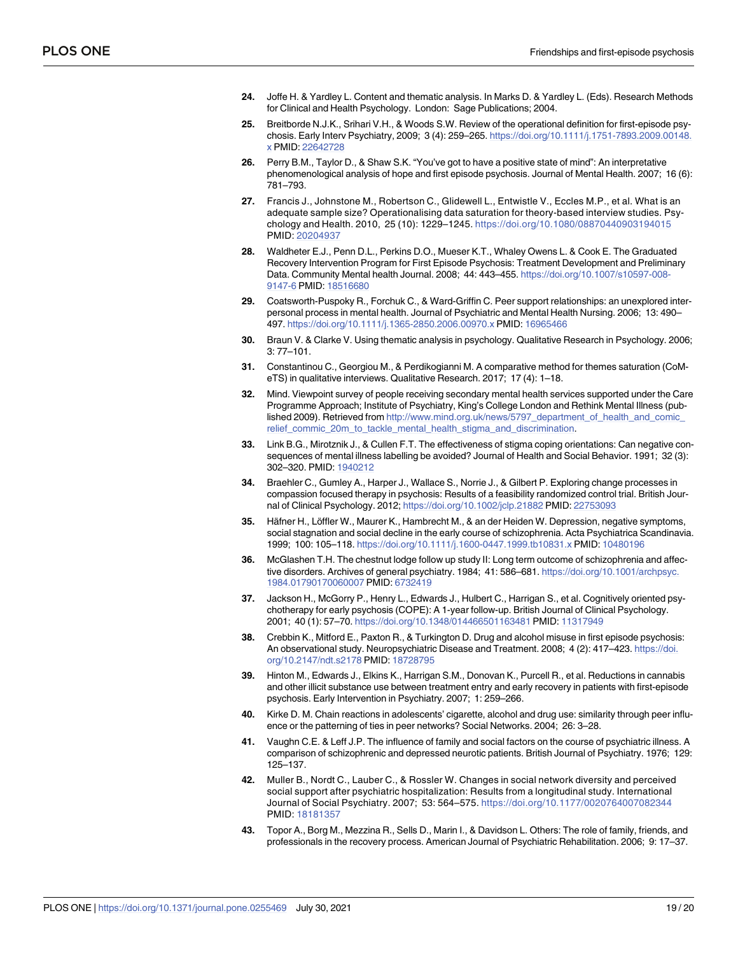- <span id="page-18-0"></span>**[24](#page-3-0).** Joffe H. & Yardley L. Content and thematic analysis. In Marks D. & Yardley L. (Eds). Research Methods for Clinical and Health Psychology. London: Sage Publications; 2004.
- **[25](#page-3-0).** Breitborde N.J.K., Srihari V.H., & Woods S.W. Review of the operational definition for first-episode psychosis. Early Interv Psychiatry, 2009; 3 (4): 259–265. [https://doi.org/10.1111/j.1751-7893.2009.00148.](https://doi.org/10.1111/j.1751-7893.2009.00148.x) [x](https://doi.org/10.1111/j.1751-7893.2009.00148.x) PMID: [22642728](http://www.ncbi.nlm.nih.gov/pubmed/22642728)
- **[26](#page-3-0).** Perry B.M., Taylor D., & Shaw S.K. "You've got to have a positive state of mind": An interpretative phenomenological analysis of hope and first episode psychosis. Journal of Mental Health. 2007; 16 (6): 781–793.
- **[27](#page-3-0).** Francis J., Johnstone M., Robertson C., Glidewell L., Entwistle V., Eccles M.P., et al. What is an adequate sample size? Operationalising data saturation for theory-based interview studies. Psychology and Health. 2010, 25 (10): 1229–1245. <https://doi.org/10.1080/08870440903194015> PMID: [20204937](http://www.ncbi.nlm.nih.gov/pubmed/20204937)
- **[28](#page-4-0).** Waldheter E.J., Penn D.L., Perkins D.O., Mueser K.T., Whaley Owens L. & Cook E. The Graduated Recovery Intervention Program for First Episode Psychosis: Treatment Development and Preliminary Data. Community Mental health Journal. 2008; 44: 443–455. [https://doi.org/10.1007/s10597-008-](https://doi.org/10.1007/s10597-008-9147-6) [9147-6](https://doi.org/10.1007/s10597-008-9147-6) PMID: [18516680](http://www.ncbi.nlm.nih.gov/pubmed/18516680)
- **[29](#page-4-0).** Coatsworth-Puspoky R., Forchuk C., & Ward-Griffin C. Peer support relationships: an unexplored interpersonal process in mental health. Journal of Psychiatric and Mental Health Nursing. 2006; 13: 490– 497. <https://doi.org/10.1111/j.1365-2850.2006.00970.x> PMID: [16965466](http://www.ncbi.nlm.nih.gov/pubmed/16965466)
- **[30](#page-5-0).** Braun V. & Clarke V. Using thematic analysis in psychology. Qualitative Research in Psychology. 2006; 3: 77–101.
- **[31](#page-5-0).** Constantinou C., Georgiou M., & Perdikogianni M. A comparative method for themes saturation (CoMeTS) in qualitative interviews. Qualitative Research. 2017; 17 (4): 1–18.
- **[32](#page-13-0).** Mind. Viewpoint survey of people receiving secondary mental health services supported under the Care Programme Approach; Institute of Psychiatry, King's College London and Rethink Mental Illness (published 2009). Retrieved from [http://www.mind.org.uk/news/5797\\_department\\_of\\_health\\_and\\_comic\\_](http://www.mind.org.uk/news/5797_department_of_health_and_comic_relief_commic_20m_to_tackle_mental_health_stigma_and_discrimination) [relief\\_commic\\_20m\\_to\\_tackle\\_mental\\_health\\_stigma\\_and\\_discrimination.](http://www.mind.org.uk/news/5797_department_of_health_and_comic_relief_commic_20m_to_tackle_mental_health_stigma_and_discrimination)
- **[33](#page-13-0).** Link B.G., Mirotznik J., & Cullen F.T. The effectiveness of stigma coping orientations: Can negative consequences of mental illness labelling be avoided? Journal of Health and Social Behavior. 1991; 32 (3): 302–320. PMID: [1940212](http://www.ncbi.nlm.nih.gov/pubmed/1940212)
- **[34](#page-13-0).** Braehler C., Gumley A., Harper J., Wallace S., Norrie J., & Gilbert P. Exploring change processes in compassion focused therapy in psychosis: Results of a feasibility randomized control trial. British Journal of Clinical Psychology. 2012; <https://doi.org/10.1002/jclp.21882> PMID: [22753093](http://www.ncbi.nlm.nih.gov/pubmed/22753093)
- **[35](#page-13-0).** Häfner H., Löffler W., Maurer K., Hambrecht M., & an der Heiden W. Depression, negative symptoms, social stagnation and social decline in the early course of schizophrenia. Acta Psychiatrica Scandinavia. 1999; 100: 105–118. <https://doi.org/10.1111/j.1600-0447.1999.tb10831.x> PMID: [10480196](http://www.ncbi.nlm.nih.gov/pubmed/10480196)
- **[36](#page-14-0).** McGlashen T.H. The chestnut lodge follow up study II: Long term outcome of schizophrenia and affective disorders. Archives of general psychiatry. 1984; 41: 586–681. [https://doi.org/10.1001/archpsyc.](https://doi.org/10.1001/archpsyc.1984.01790170060007) [1984.01790170060007](https://doi.org/10.1001/archpsyc.1984.01790170060007) PMID: [6732419](http://www.ncbi.nlm.nih.gov/pubmed/6732419)
- **[37](#page-14-0).** Jackson H., McGorry P., Henry L., Edwards J., Hulbert C., Harrigan S., et al. Cognitively oriented psychotherapy for early psychosis (COPE): A 1-year follow-up. British Journal of Clinical Psychology. 2001; 40 (1): 57–70. <https://doi.org/10.1348/014466501163481> PMID: [11317949](http://www.ncbi.nlm.nih.gov/pubmed/11317949)
- **[38](#page-14-0).** Crebbin K., Mitford E., Paxton R., & Turkington D. Drug and alcohol misuse in first episode psychosis: An observational study. Neuropsychiatric Disease and Treatment. 2008; 4 (2): 417–423. [https://doi.](https://doi.org/10.2147/ndt.s2178) [org/10.2147/ndt.s2178](https://doi.org/10.2147/ndt.s2178) PMID: [18728795](http://www.ncbi.nlm.nih.gov/pubmed/18728795)
- **[39](#page-14-0).** Hinton M., Edwards J., Elkins K., Harrigan S.M., Donovan K., Purcell R., et al. Reductions in cannabis and other illicit substance use between treatment entry and early recovery in patients with first-episode psychosis. Early Intervention in Psychiatry. 2007; 1: 259–266.
- **[40](#page-14-0).** Kirke D. M. Chain reactions in adolescents' cigarette, alcohol and drug use: similarity through peer influence or the patterning of ties in peer networks? Social Networks. 2004; 26: 3–28.
- **[41](#page-14-0).** Vaughn C.E. & Leff J.P. The influence of family and social factors on the course of psychiatric illness. A comparison of schizophrenic and depressed neurotic patients. British Journal of Psychiatry. 1976; 129: 125–137.
- **[42](#page-14-0).** Muller B., Nordt C., Lauber C., & Rossler W. Changes in social network diversity and perceived social support after psychiatric hospitalization: Results from a longitudinal study. International Journal of Social Psychiatry. 2007; 53: 564–575. <https://doi.org/10.1177/0020764007082344> PMID: [18181357](http://www.ncbi.nlm.nih.gov/pubmed/18181357)
- **[43](#page-14-0).** Topor A., Borg M., Mezzina R., Sells D., Marin I., & Davidson L. Others: The role of family, friends, and professionals in the recovery process. American Journal of Psychiatric Rehabilitation. 2006; 9: 17–37.